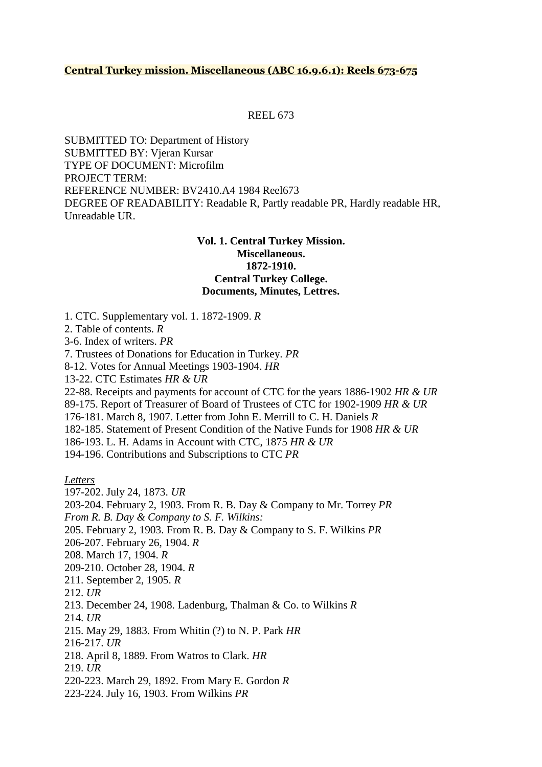# **Central Turkey mission. Miscellaneous (ABC 16.9.6.1): Reels 673-675**

#### REEL 673

SUBMITTED TO: Department of History SUBMITTED BY: Vjeran Kursar TYPE OF DOCUMENT: Microfilm PROJECT TERM: REFERENCE NUMBER: BV2410.A4 1984 Reel673 DEGREE OF READABILITY: Readable R, Partly readable PR, Hardly readable HR, Unreadable UR.

# **Vol. 1. Central Turkey Mission. Miscellaneous. 1872-1910. Central Turkey College. Documents, Minutes, Lettres.**

1. CTC. Supplementary vol. 1. 1872-1909. *R*

2. Table of contents. *R*

3-6. Index of writers. *PR*

7. Trustees of Donations for Education in Turkey. *PR*

8-12. Votes for Annual Meetings 1903-1904. *HR*

13-22. CTC Estimates *HR & UR*

22-88. Receipts and payments for account of CTC for the years 1886-1902 *HR & UR* 89-175. Report of Treasurer of Board of Trustees of CTC for 1902-1909 *HR & UR*

176-181. March 8, 1907. Letter from John E. Merrill to C. H. Daniels *R*

182-185. Statement of Present Condition of the Native Funds for 1908 *HR & UR*

186-193. L. H. Adams in Account with CTC, 1875 *HR & UR*

194-196. Contributions and Subscriptions to CTC *PR*

*Letters*

197-202. July 24, 1873. *UR*

203-204. February 2, 1903. From R. B. Day & Company to Mr. Torrey *PR*

*From R. B. Day & Company to S. F. Wilkins:*

205. February 2, 1903. From R. B. Day & Company to S. F. Wilkins *PR*

206-207. February 26, 1904. *R*

208. March 17, 1904. *R*

209-210. October 28, 1904. *R*

211. September 2, 1905. *R*

212. *UR*

213. December 24, 1908. Ladenburg, Thalman & Co. to Wilkins *R*

214. *UR*

215. May 29, 1883. From Whitin (?) to N. P. Park *HR*

216-217. *UR*

218. April 8, 1889. From Watros to Clark. *HR*

219. *UR*

220-223. March 29, 1892. From Mary E. Gordon *R*

223-224. July 16, 1903. From Wilkins *PR*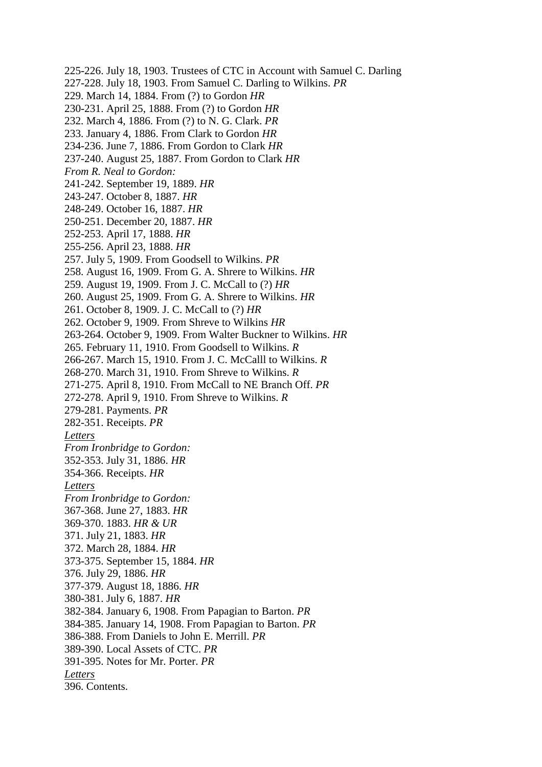225-226. July 18, 1903. Trustees of CTC in Account with Samuel C. Darling 227-228. July 18, 1903. From Samuel C. Darling to Wilkins. *PR* 229. March 14, 1884. From (?) to Gordon *HR* 230-231. April 25, 1888. From (?) to Gordon *HR* 232. March 4, 1886. From (?) to N. G. Clark. *PR* 233. January 4, 1886. From Clark to Gordon *HR* 234-236. June 7, 1886. From Gordon to Clark *HR* 237-240. August 25, 1887. From Gordon to Clark *HR From R. Neal to Gordon:* 241-242. September 19, 1889. *HR* 243-247. October 8, 1887. *HR* 248-249. October 16, 1887. *HR* 250-251. December 20, 1887. *HR* 252-253. April 17, 1888. *HR* 255-256. April 23, 1888. *HR* 257. July 5, 1909. From Goodsell to Wilkins. *PR* 258. August 16, 1909. From G. A. Shrere to Wilkins. *HR* 259. August 19, 1909. From J. C. McCall to (?) *HR* 260. August 25, 1909. From G. A. Shrere to Wilkins. *HR* 261. October 8, 1909. J. C. McCall to (?) *HR* 262. October 9, 1909. From Shreve to Wilkins *HR* 263-264. October 9, 1909. From Walter Buckner to Wilkins. *HR* 265. February 11, 1910. From Goodsell to Wilkins. *R* 266-267. March 15, 1910. From J. C. McCalll to Wilkins. *R* 268-270. March 31, 1910. From Shreve to Wilkins. *R* 271-275. April 8, 1910. From McCall to NE Branch Off. *PR* 272-278. April 9, 1910. From Shreve to Wilkins. *R* 279-281. Payments. *PR* 282-351. Receipts. *PR Letters From Ironbridge to Gordon:* 352-353. July 31, 1886. *HR* 354-366. Receipts. *HR Letters From Ironbridge to Gordon:* 367-368. June 27, 1883. *HR* 369-370. 1883. *HR & UR* 371. July 21, 1883. *HR* 372. March 28, 1884. *HR* 373-375. September 15, 1884. *HR* 376. July 29, 1886. *HR* 377-379. August 18, 1886. *HR* 380-381. July 6, 1887. *HR* 382-384. January 6, 1908. From Papagian to Barton. *PR* 384-385. January 14, 1908. From Papagian to Barton. *PR* 386-388. From Daniels to John E. Merrill. *PR* 389-390. Local Assets of CTC. *PR* 391-395. Notes for Mr. Porter. *PR Letters* 396. Contents.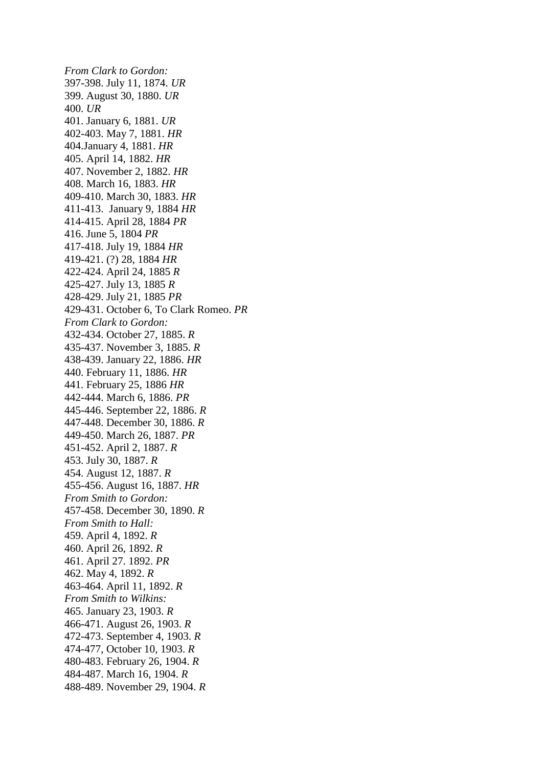*From Clark to Gordon:* 397-398. July 11, 1874. *UR* 399. August 30, 1880. *UR* 400. *UR* 401. January 6, 1881. *UR* 402-403. May 7, 1881. *HR* 404.January 4, 1881. *HR* 405. April 14, 1882. *HR* 407. November 2, 1882. *HR* 408. March 16, 1883. *HR* 409-410. March 30, 1883. *HR* 411-413. January 9, 1884 *HR* 414-415. April 28, 1884 *PR* 416. June 5, 1804 *PR* 417-418. July 19, 1884 *HR* 419-421. (?) 28, 1884 *HR* 422-424. April 24, 1885 *R* 425-427. July 13, 1885 *R* 428-429. July 21, 1885 *PR* 429-431. October 6, To Clark Romeo. *PR From Clark to Gordon:* 432-434. October 27, 1885. *R* 435-437. November 3, 1885. *R* 438-439. January 22, 1886. *HR* 440. February 11, 1886. *HR* 441. February 25, 1886 *HR* 442-444. March 6, 1886. *PR* 445-446. September 22, 1886. *R* 447-448. December 30, 1886. *R* 449-450. March 26, 1887. *PR* 451-452. April 2, 1887. *R* 453. July 30, 1887. *R* 454. August 12, 1887. *R* 455-456. August 16, 1887. *HR From Smith to Gordon:* 457-458. December 30, 1890. *R From Smith to Hall:* 459. April 4, 1892. *R* 460. April 26, 1892. *R* 461. April 27. 1892. *PR* 462. May 4, 1892. *R* 463-464. April 11, 1892. *R From Smith to Wilkins:* 465. January 23, 1903. *R* 466-471. August 26, 1903. *R* 472-473. September 4, 1903. *R* 474-477, October 10, 1903. *R* 480-483. February 26, 1904. *R* 484-487. March 16, 1904. *R* 488-489. November 29, 1904. *R*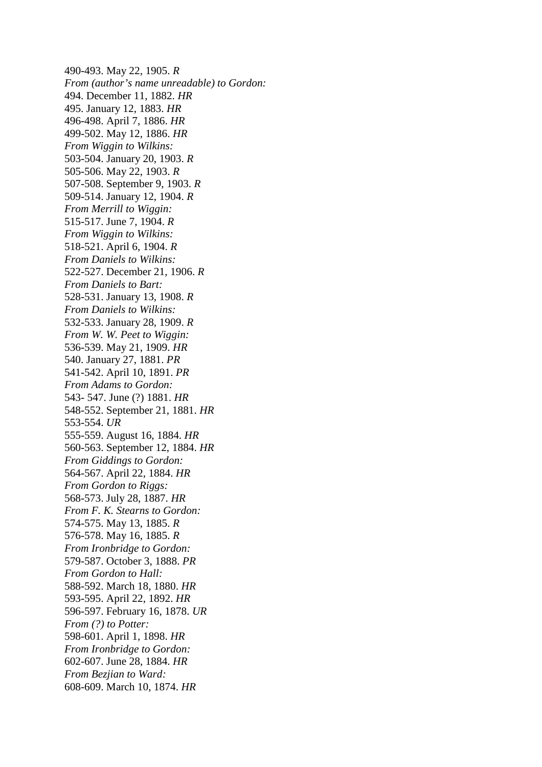490-493. May 22, 1905. *R From (author's name unreadable) to Gordon:* 494. December 11, 1882. *HR* 495. January 12, 1883. *HR* 496-498. April 7, 1886. *HR* 499-502. May 12, 1886. *HR From Wiggin to Wilkins:* 503-504. January 20, 1903. *R* 505-506. May 22, 1903. *R* 507-508. September 9, 1903. *R* 509-514. January 12, 1904. *R From Merrill to Wiggin:* 515-517. June 7, 1904. *R From Wiggin to Wilkins:* 518-521. April 6, 1904. *R From Daniels to Wilkins:* 522-527. December 21, 1906. *R From Daniels to Bart:* 528-531. January 13, 1908. *R From Daniels to Wilkins:* 532-533. January 28, 1909. *R From W. W. Peet to Wiggin:* 536-539. May 21, 1909. *HR* 540. January 27, 1881. *PR* 541-542. April 10, 1891. *PR From Adams to Gordon:* 543- 547. June (?) 1881. *HR* 548-552. September 21, 1881. *HR* 553-554. *UR* 555-559. August 16, 1884. *HR* 560-563. September 12, 1884. *HR From Giddings to Gordon:* 564-567. April 22, 1884. *HR From Gordon to Riggs:* 568-573. July 28, 1887. *HR From F. K. Stearns to Gordon:* 574-575. May 13, 1885. *R* 576-578. May 16, 1885. *R From Ironbridge to Gordon:* 579-587. October 3, 1888. *PR From Gordon to Hall:* 588-592. March 18, 1880. *HR* 593-595. April 22, 1892. *HR* 596-597. February 16, 1878. *UR From (?) to Potter:* 598-601. April 1, 1898. *HR From Ironbridge to Gordon:* 602-607. June 28, 1884. *HR From Bezjian to Ward:* 608-609. March 10, 1874. *HR*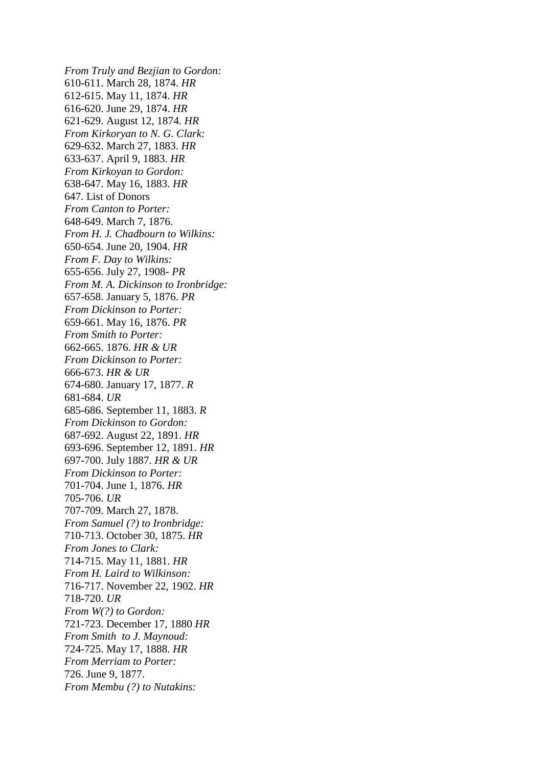*From Truly and Bezjian to Gordon:* 610-611. March 28, 1874. *HR* 612-615. May 11, 1874. *HR* 616-620. June 29, 1874. *HR* 621-629. August 12, 1874. *HR From Kirkoryan to N. G. Clark:* 629-632. March 27, 1883. *HR* 633-637. April 9, 1883. *HR From Kirkoyan to Gordon:* 638-647. May 16, 1883. *HR* 647. List of Donors *From Canton to Porter:* 648-649. March 7, 1876. *From H. J. Chadbourn to Wilkins:* 650-654. June 20, 1904. *HR From F. Day to Wilkins:* 655-656. July 27, 1908- *PR From M. A. Dickinson to Ironbridge:* 657-658. January 5, 1876. *PR From Dickinson to Porter:* 659-661. May 16, 1876. *PR From Smith to Porter:* 662-665. 1876. *HR & UR From Dickinson to Porter:* 666-673. *HR & UR* 674-680. January 17, 1877. *R* 681-684. *UR* 685-686. September 11, 1883. *R From Dickinson to Gordon:* 687-692. August 22, 1891. *HR* 693-696. September 12, 1891. *HR* 697-700. July 1887. *HR & UR From Dickinson to Porter:* 701-704. June 1, 1876. *HR* 705-706. *UR* 707-709. March 27, 1878. *From Samuel (?) to Ironbridge:* 710-713. October 30, 1875. *HR From Jones to Clark:* 714-715. May 11, 1881. *HR From H. Laird to Wilkinson:* 716-717. November 22, 1902. *HR* 718-720. *UR From W(?) to Gordon:* 721-723. December 17, 1880 *HR From Smith to J. Maynoud:* 724-725. May 17, 1888. *HR From Merriam to Porter:* 726. June 9, 1877. *From Membu (?) to Nutakins:*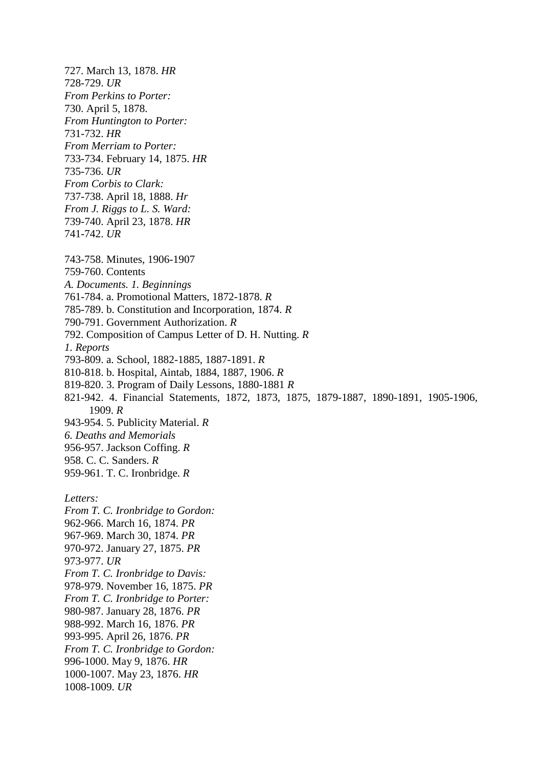727. March 13, 1878. *HR* 728-729. *UR From Perkins to Porter:* 730. April 5, 1878. *From Huntington to Porter:* 731-732. *HR From Merriam to Porter:* 733-734. February 14, 1875. *HR* 735-736. *UR From Corbis to Clark:* 737-738. April 18, 1888. *Hr From J. Riggs to L. S. Ward:* 739-740. April 23, 1878. *HR* 741-742. *UR* 743-758. Minutes, 1906-1907 759-760. Contents *A. Documents. 1. Beginnings* 761-784. a. Promotional Matters, 1872-1878. *R* 785-789. b. Constitution and Incorporation, 1874. *R* 790-791. Government Authorization. *R* 792. Composition of Campus Letter of D. H. Nutting. *R 1. Reports* 793-809. a. School, 1882-1885, 1887-1891. *R* 810-818. b. Hospital, Aintab, 1884, 1887, 1906. *R* 819-820. 3. Program of Daily Lessons, 1880-1881 *R* 821-942. 4. Financial Statements, 1872, 1873, 1875, 1879-1887, 1890-1891, 1905-1906, 1909. *R* 943-954. 5. Publicity Material. *R 6. Deaths and Memorials* 956-957. Jackson Coffing. *R* 958. C. C. Sanders. *R* 959-961. T. C. Ironbridge. *R Letters: From T. C. Ironbridge to Gordon:* 962-966. March 16, 1874. *PR* 967-969. March 30, 1874. *PR* 970-972. January 27, 1875. *PR* 973-977. *UR From T. C. Ironbridge to Davis:* 978-979. November 16, 1875. *PR From T. C. Ironbridge to Porter:* 980-987. January 28, 1876. *PR* 988-992. March 16, 1876. *PR* 993-995. April 26, 1876. *PR From T. C. Ironbridge to Gordon:* 996-1000. May 9, 1876. *HR* 1000-1007. May 23, 1876. *HR*

1008-1009. *UR*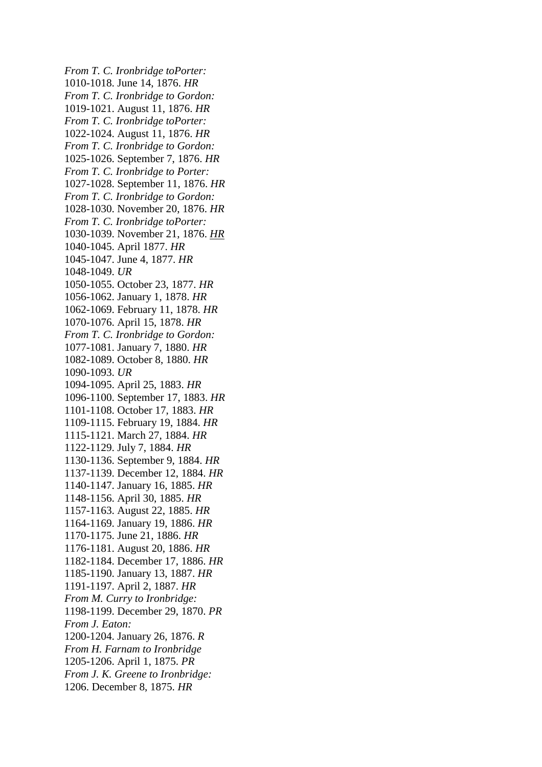*From T. C. Ironbridge toPorter:* 1010-1018. June 14, 1876. *HR From T. C. Ironbridge to Gordon:* 1019-1021. August 11, 1876. *HR From T. C. Ironbridge toPorter:* 1022-1024. August 11, 1876. *HR From T. C. Ironbridge to Gordon:* 1025-1026. September 7, 1876. *HR From T. C. Ironbridge to Porter:* 1027-1028. September 11, 1876. *HR From T. C. Ironbridge to Gordon:* 1028-1030. November 20, 1876. *HR From T. C. Ironbridge toPorter:* 1030-1039. November 21, 1876. *HR* 1040-1045. April 1877. *HR* 1045-1047. June 4, 1877. *HR* 1048-1049. *UR* 1050-1055. October 23, 1877. *HR* 1056-1062. January 1, 1878. *HR* 1062-1069. February 11, 1878. *HR* 1070-1076. April 15, 1878. *HR From T. C. Ironbridge to Gordon:* 1077-1081. January 7, 1880. *HR* 1082-1089. October 8, 1880. *HR* 1090-1093. *UR* 1094-1095. April 25, 1883. *HR* 1096-1100. September 17, 1883. *HR* 1101-1108. October 17, 1883. *HR* 1109-1115. February 19, 1884. *HR* 1115-1121. March 27, 1884. *HR* 1122-1129. July 7, 1884. *HR* 1130-1136. September 9, 1884. *HR* 1137-1139. December 12, 1884. *HR* 1140-1147. January 16, 1885. *HR* 1148-1156. April 30, 1885. *HR* 1157-1163. August 22, 1885. *HR* 1164-1169. January 19, 1886. *HR* 1170-1175. June 21, 1886. *HR* 1176-1181. August 20, 1886. *HR* 1182-1184. December 17, 1886. *HR* 1185-1190. January 13, 1887. *HR* 1191-1197. April 2, 1887. *HR From M. Curry to Ironbridge:* 1198-1199. December 29, 1870. *PR From J. Eaton:* 1200-1204. January 26, 1876. *R From H. Farnam to Ironbridge* 1205-1206. April 1, 1875. *PR From J. K. Greene to Ironbridge:* 1206. December 8, 1875. *HR*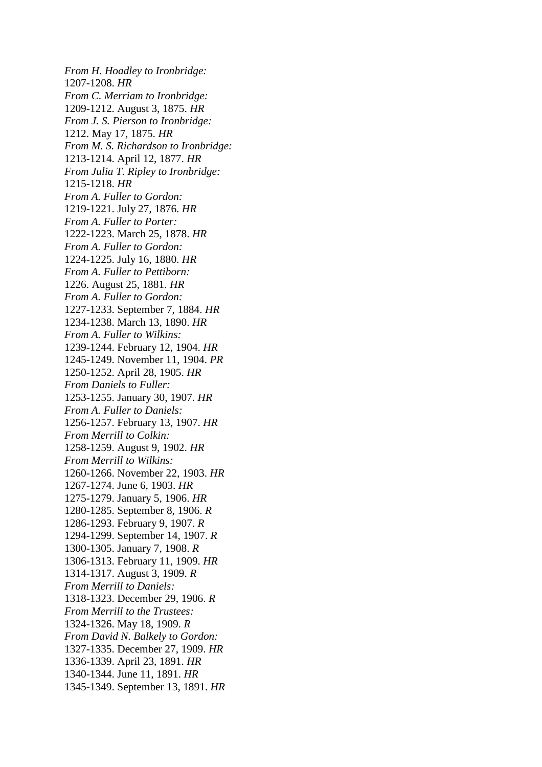*From H. Hoadley to Ironbridge:* 1207-1208. *HR From C. Merriam to Ironbridge:* 1209-1212. August 3, 1875. *HR From J. S. Pierson to Ironbridge:* 1212. May 17, 1875. *HR From M. S. Richardson to Ironbridge:* 1213-1214. April 12, 1877. *HR From Julia T. Ripley to Ironbridge:* 1215-1218. *HR From A. Fuller to Gordon:* 1219-1221. July 27, 1876. *HR From A. Fuller to Porter:* 1222-1223. March 25, 1878. *HR From A. Fuller to Gordon:* 1224-1225. July 16, 1880. *HR From A. Fuller to Pettiborn:* 1226. August 25, 1881. *HR From A. Fuller to Gordon:* 1227-1233. September 7, 1884. *HR* 1234-1238. March 13, 1890. *HR From A. Fuller to Wilkins:* 1239-1244. February 12, 1904. *HR* 1245-1249. November 11, 1904. *PR* 1250-1252. April 28, 1905. *HR From Daniels to Fuller:* 1253-1255. January 30, 1907. *HR From A. Fuller to Daniels:* 1256-1257. February 13, 1907. *HR From Merrill to Colkin:* 1258-1259. August 9, 1902. *HR From Merrill to Wilkins:* 1260-1266. November 22, 1903. *HR* 1267-1274. June 6, 1903. *HR* 1275-1279. January 5, 1906. *HR* 1280-1285. September 8, 1906. *R* 1286-1293. February 9, 1907. *R* 1294-1299. September 14, 1907. *R* 1300-1305. January 7, 1908. *R* 1306-1313. February 11, 1909. *HR* 1314-1317. August 3, 1909. *R From Merrill to Daniels:* 1318-1323. December 29, 1906. *R From Merrill to the Trustees:* 1324-1326. May 18, 1909. *R From David N. Balkely to Gordon:* 1327-1335. December 27, 1909. *HR* 1336-1339. April 23, 1891. *HR* 1340-1344. June 11, 1891. *HR* 1345-1349. September 13, 1891. *HR*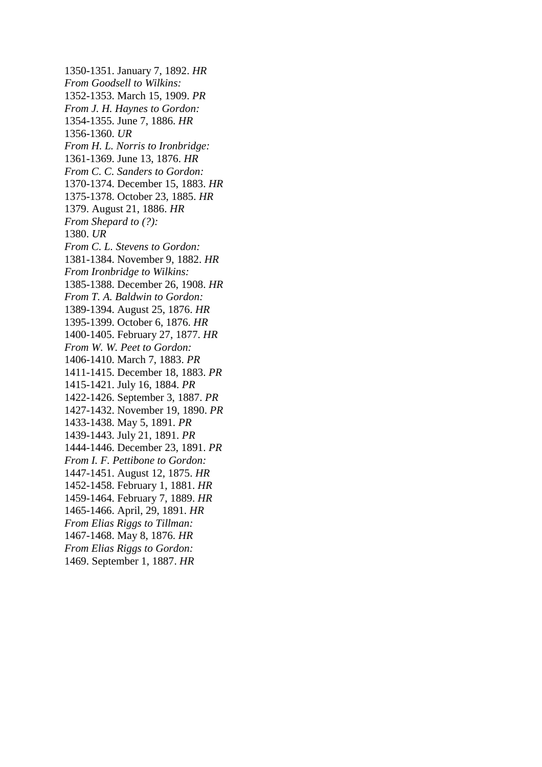1350-1351. January 7, 1892. *HR From Goodsell to Wilkins:* 1352-1353. March 15, 1909. *PR From J. H. Haynes to Gordon:* 1354-1355. June 7, 1886. *HR* 1356-1360. *UR From H. L. Norris to Ironbridge:* 1361-1369. June 13, 1876. *HR From C. C. Sanders to Gordon:* 1370-1374. December 15, 1883. *HR* 1375-1378. October 23, 1885. *HR* 1379. August 21, 1886. *HR From Shepard to (?):* 1380. *UR From C. L. Stevens to Gordon:* 1381-1384. November 9, 1882. *HR From Ironbridge to Wilkins:* 1385-1388. December 26, 1908. *HR From T. A. Baldwin to Gordon:* 1389-1394. August 25, 1876. *HR* 1395-1399. October 6, 1876. *HR* 1400-1405. February 27, 1877. *HR From W. W. Peet to Gordon:*  1406-1410. March 7, 1883. *PR* 1411-1415. December 18, 1883. *PR* 1415-1421. July 16, 1884. *PR* 1422-1426. September 3, 1887. *PR* 1427-1432. November 19, 1890. *PR* 1433-1438. May 5, 1891. *PR* 1439-1443. July 21, 1891. *PR* 1444-1446. December 23, 1891. *PR From I. F. Pettibone to Gordon:* 1447-1451. August 12, 1875. *HR* 1452-1458. February 1, 1881. *HR* 1459-1464. February 7, 1889. *HR* 1465-1466. April, 29, 1891. *HR From Elias Riggs to Tillman:* 1467-1468. May 8, 1876. *HR From Elias Riggs to Gordon:* 1469. September 1, 1887. *HR*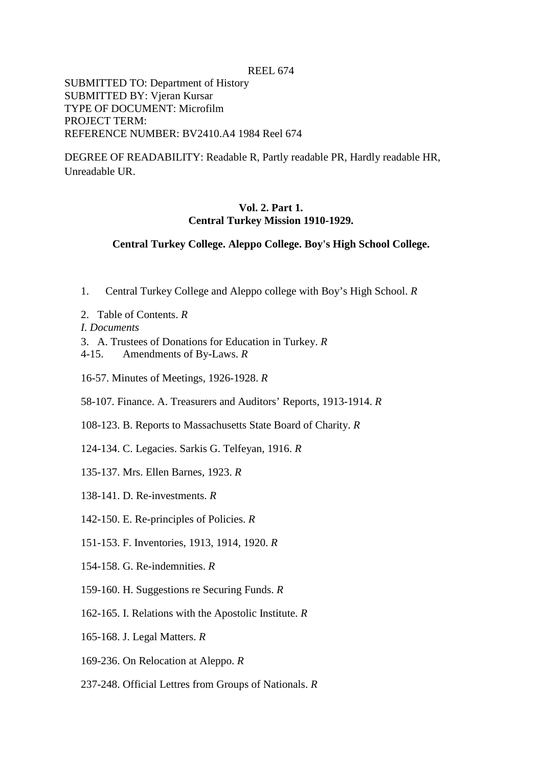REEL 674

SUBMITTED TO: Department of History SUBMITTED BY: Vjeran Kursar TYPE OF DOCUMENT: Microfilm PROJECT TERM: REFERENCE NUMBER: BV2410.A4 1984 Reel 674

DEGREE OF READABILITY: Readable R, Partly readable PR, Hardly readable HR, Unreadable UR.

# **Vol. 2. Part 1. Central Turkey Mission 1910-1929.**

## **Central Turkey College. Aleppo College. Boy's High School College.**

- 1. Central Turkey College and Aleppo college with Boy's High School. *R*
- 2. Table of Contents. *R*
- *I. Documents*
- 3. A. Trustees of Donations for Education in Turkey. *R*
- 4-15. Amendments of By-Laws. *R*
- 16-57. Minutes of Meetings, 1926-1928. *R*
- 58-107. Finance. A. Treasurers and Auditors' Reports, 1913-1914. *R*
- 108-123. B. Reports to Massachusetts State Board of Charity. *R*
- 124-134. C. Legacies. Sarkis G. Telfeyan, 1916. *R*
- 135-137. Mrs. Ellen Barnes, 1923. *R*
- 138-141. D. Re-investments. *R*
- 142-150. E. Re-principles of Policies. *R*
- 151-153. F. Inventories, 1913, 1914, 1920. *R*
- 154-158. G. Re-indemnities. *R*
- 159-160. H. Suggestions re Securing Funds. *R*
- 162-165. I. Relations with the Apostolic Institute. *R*
- 165-168. J. Legal Matters. *R*
- 169-236. On Relocation at Aleppo. *R*
- 237-248. Official Lettres from Groups of Nationals. *R*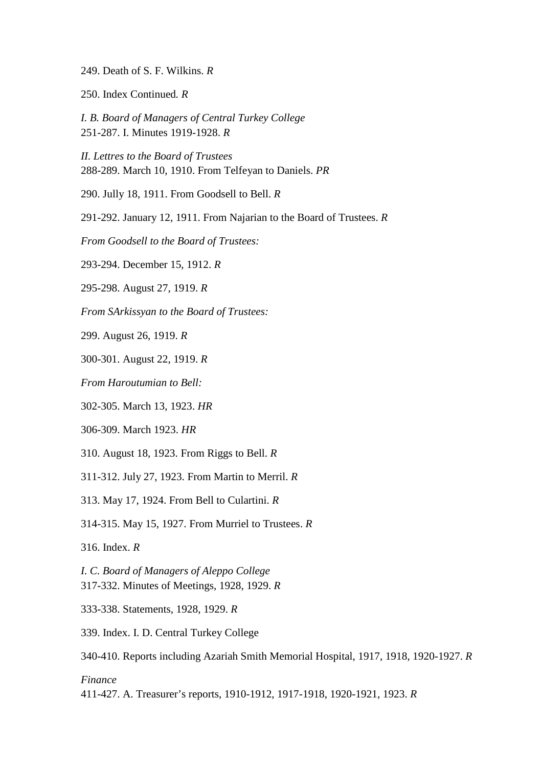- 249. Death of S. F. Wilkins. *R*
- 250. Index Continued*. R*

*I. B. Board of Managers of Central Turkey College*  251-287. I. Minutes 1919-1928. *R*

*II. Lettres to the Board of Trustees*  288-289. March 10, 1910. From Telfeyan to Daniels. *PR*

290. Jully 18, 1911. From Goodsell to Bell. *R*

291-292. January 12, 1911. From Najarian to the Board of Trustees. *R*

*From Goodsell to the Board of Trustees:*

293-294. December 15, 1912. *R*

295-298. August 27, 1919. *R*

*From SArkissyan to the Board of Trustees:*

299. August 26, 1919. *R*

300-301. August 22, 1919. *R*

*From Haroutumian to Bell:*

302-305. March 13, 1923. *HR*

306-309. March 1923. *HR*

310. August 18, 1923. From Riggs to Bell. *R*

311-312. July 27, 1923. From Martin to Merril. *R*

313. May 17, 1924. From Bell to Culartini. *R*

314-315. May 15, 1927. From Murriel to Trustees. *R*

316. Index. *R*

*I. C. Board of Managers of Aleppo College*  317-332. Minutes of Meetings, 1928, 1929. *R*

333-338. Statements, 1928, 1929. *R*

339. Index. I. D. Central Turkey College

340-410. Reports including Azariah Smith Memorial Hospital, 1917, 1918, 1920-1927. *R*

#### *Finance*

411-427. A. Treasurer's reports, 1910-1912, 1917-1918, 1920-1921, 1923. *R*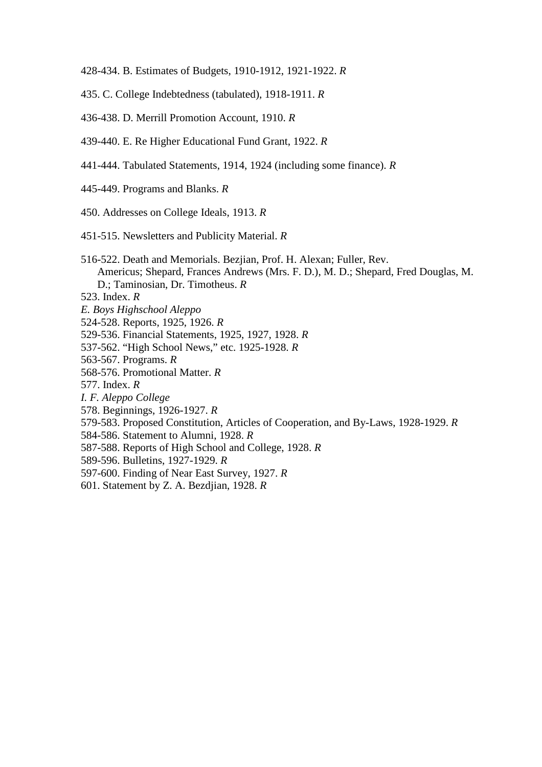- 428-434. B. Estimates of Budgets, 1910-1912, 1921-1922. *R*
- 435. C. College Indebtedness (tabulated), 1918-1911. *R*
- 436-438. D. Merrill Promotion Account, 1910. *R*
- 439-440. E. Re Higher Educational Fund Grant, 1922. *R*
- 441-444. Tabulated Statements, 1914, 1924 (including some finance). *R*
- 445-449. Programs and Blanks. *R*
- 450. Addresses on College Ideals, 1913. *R*
- 451-515. Newsletters and Publicity Material. *R*
- 516-522. Death and Memorials. Bezjian, Prof. H. Alexan; Fuller, Rev. Americus; Shepard, Frances Andrews (Mrs. F. D.), M. D.; Shepard, Fred Douglas, M. D.; Taminosian, Dr. Timotheus. *R*
- 523. Index. *R*
- *E. Boys Highschool Aleppo*
- 524-528. Reports, 1925, 1926. *R*
- 529-536. Financial Statements, 1925, 1927, 1928. *R*
- 537-562. "High School News," etc. 1925-1928. *R*
- 563-567. Programs. *R*
- 568-576. Promotional Matter. *R*
- 577. Index. *R*
- *I. F. Aleppo College*
- 578. Beginnings, 1926-1927. *R*
- 579-583. Proposed Constitution, Articles of Cooperation, and By-Laws, 1928-1929. *R*
- 584-586. Statement to Alumni, 1928. *R*
- 587-588. Reports of High School and College, 1928. *R*
- 589-596. Bulletins, 1927-1929. *R*
- 597-600. Finding of Near East Survey, 1927. *R*
- 601. Statement by Z. A. Bezdjian, 1928. *R*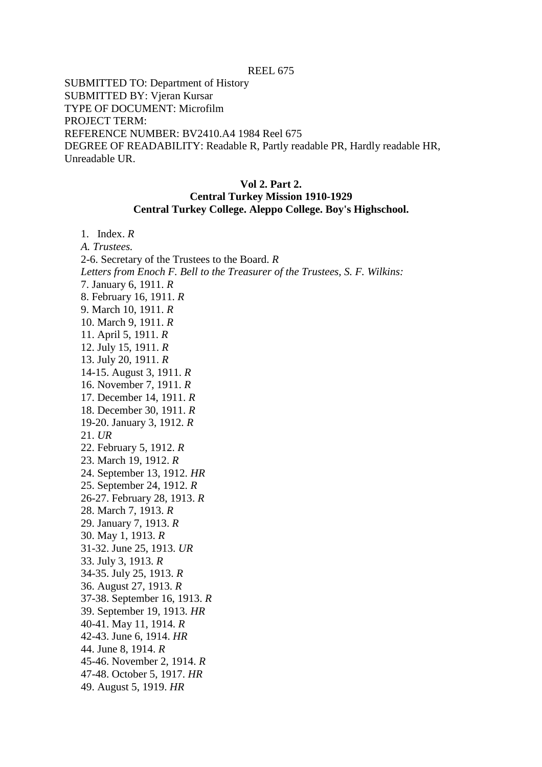SUBMITTED TO: Department of History SUBMITTED BY: Vjeran Kursar TYPE OF DOCUMENT: Microfilm PROJECT TERM: REFERENCE NUMBER: BV2410.A4 1984 Reel 675 DEGREE OF READABILITY: Readable R, Partly readable PR, Hardly readable HR, Unreadable UR.

## **Vol 2. Part 2. Central Turkey Mission 1910-1929 Central Turkey College. Aleppo College. Boy's Highschool.**

1. Index. *R A. Trustees.* 2-6. Secretary of the Trustees to the Board. *R Letters from Enoch F. Bell to the Treasurer of the Trustees, S. F. Wilkins:* 7. January 6, 1911. *R* 8. February 16, 1911. *R* 9. March 10, 1911. *R* 10. March 9, 1911. *R* 11. April 5, 1911. *R* 12. July 15, 1911. *R* 13. July 20, 1911. *R* 14-15. August 3, 1911. *R* 16. November 7, 1911. *R* 17. December 14, 1911. *R* 18. December 30, 1911. *R* 19-20. January 3, 1912. *R* 21. *UR* 22. February 5, 1912. *R* 23. March 19, 1912. *R* 24. September 13, 1912. *HR* 25. September 24, 1912. *R* 26-27. February 28, 1913. *R* 28. March 7, 1913. *R* 29. January 7, 1913. *R* 30. May 1, 1913. *R* 31-32. June 25, 1913. *UR* 33. July 3, 1913. *R* 34-35. July 25, 1913. *R* 36. August 27, 1913. *R* 37-38. September 16, 1913. *R* 39. September 19, 1913. *HR* 40-41. May 11, 1914. *R* 42-43. June 6, 1914. *HR* 44. June 8, 1914. *R* 45-46. November 2, 1914. *R* 47-48. October 5, 1917. *HR*

49. August 5, 1919. *HR*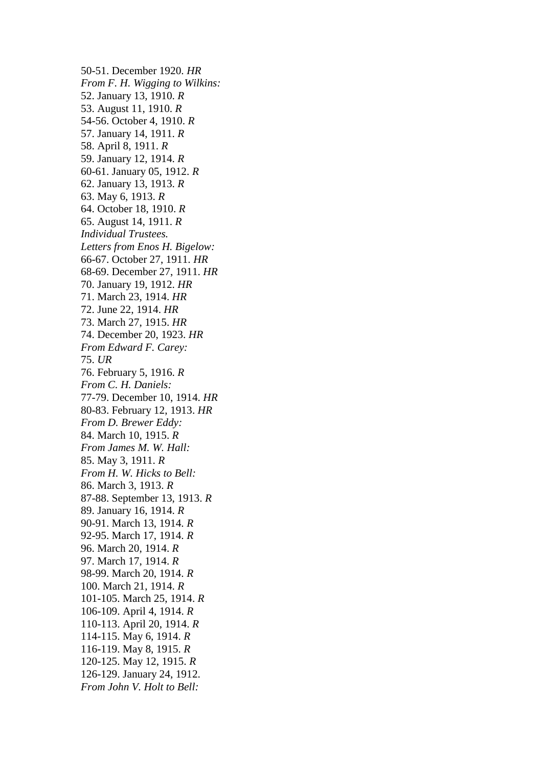50-51. December 1920. *HR From F. H. Wigging to Wilkins:* 52. January 13, 1910. *R* 53. August 11, 1910. *R* 54-56. October 4, 1910. *R* 57. January 14, 1911. *R* 58. April 8, 1911. *R* 59. January 12, 1914. *R* 60-61. January 05, 1912. *R* 62. January 13, 1913. *R* 63. May 6, 1913. *R* 64. October 18, 1910. *R* 65. August 14, 1911. *R Individual Trustees. Letters from Enos H. Bigelow:* 66-67. October 27, 1911. *HR* 68-69. December 27, 1911. *HR* 70. January 19, 1912. *HR* 71. March 23, 1914. *HR* 72. June 22, 1914. *HR* 73. March 27, 1915. *HR* 74. December 20, 1923. *HR From Edward F. Carey:* 75. *UR* 76. February 5, 1916. *R From C. H. Daniels:* 77-79. December 10, 1914. *HR* 80-83. February 12, 1913. *HR From D. Brewer Eddy:* 84. March 10, 1915. *R From James M. W. Hall:* 85. May 3, 1911. *R From H. W. Hicks to Bell:* 86. March 3, 1913. *R* 87-88. September 13, 1913. *R* 89. January 16, 1914. *R* 90-91. March 13, 1914. *R* 92-95. March 17, 1914. *R* 96. March 20, 1914. *R* 97. March 17, 1914. *R* 98-99. March 20, 1914. *R* 100. March 21, 1914. *R* 101-105. March 25, 1914. *R* 106-109. April 4, 1914. *R* 110-113. April 20, 1914. *R* 114-115. May 6, 1914. *R* 116-119. May 8, 1915. *R* 120-125. May 12, 1915. *R* 126-129. January 24, 1912. *From John V. Holt to Bell:*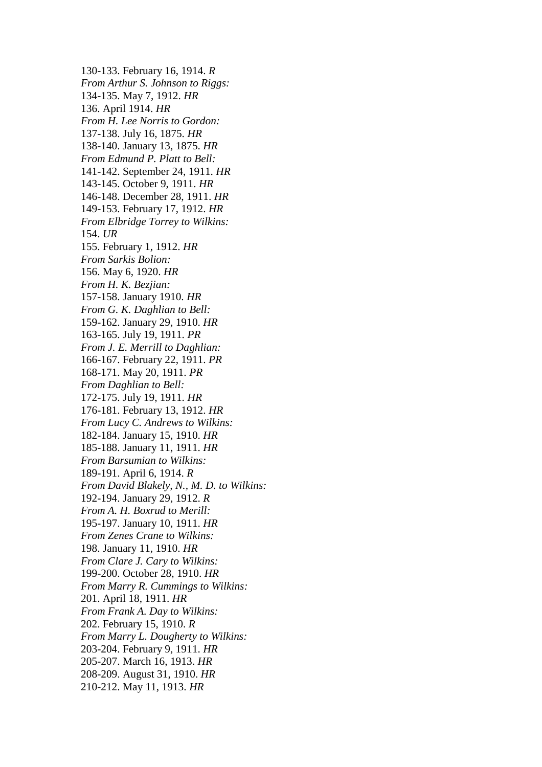130-133. February 16, 1914. *R From Arthur S. Johnson to Riggs:* 134-135. May 7, 1912. *HR* 136. April 1914. *HR From H. Lee Norris to Gordon:* 137-138. July 16, 1875. *HR* 138-140. January 13, 1875. *HR From Edmund P. Platt to Bell:* 141-142. September 24, 1911. *HR* 143-145. October 9, 1911. *HR* 146-148. December 28, 1911. *HR* 149-153. February 17, 1912. *HR From Elbridge Torrey to Wilkins:* 154. *UR* 155. February 1, 1912. *HR From Sarkis Bolion:* 156. May 6, 1920. *HR From H. K. Bezjian:* 157-158. January 1910. *HR From G. K. Daghlian to Bell:* 159-162. January 29, 1910. *HR* 163-165. July 19, 1911. *PR From J. E. Merrill to Daghlian:* 166-167. February 22, 1911. *PR* 168-171. May 20, 1911. *PR From Daghlian to Bell:* 172-175. July 19, 1911. *HR* 176-181. February 13, 1912. *HR From Lucy C. Andrews to Wilkins:* 182-184. January 15, 1910. *HR* 185-188. January 11, 1911. *HR From Barsumian to Wilkins:* 189-191. April 6, 1914. *R From David Blakely, N., M. D. to Wilkins:* 192-194. January 29, 1912. *R From A. H. Boxrud to Merill:*  195-197. January 10, 1911. *HR From Zenes Crane to Wilkins:* 198. January 11, 1910. *HR From Clare J. Cary to Wilkins:* 199-200. October 28, 1910. *HR From Marry R. Cummings to Wilkins:* 201. April 18, 1911. *HR From Frank A. Day to Wilkins:* 202. February 15, 1910. *R From Marry L. Dougherty to Wilkins:* 203-204. February 9, 1911. *HR* 205-207. March 16, 1913. *HR* 208-209. August 31, 1910. *HR* 210-212. May 11, 1913. *HR*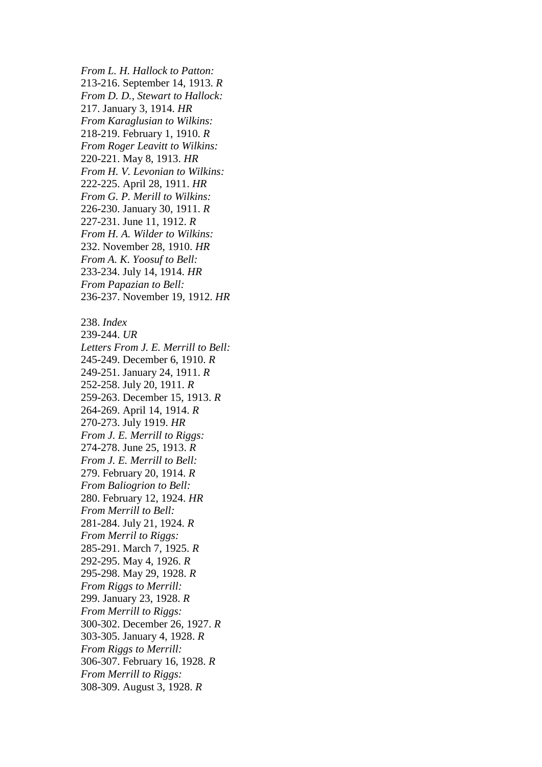*From L. H. Hallock to Patton:* 213-216. September 14, 1913. *R From D. D., Stewart to Hallock:* 217. January 3, 1914. *HR From Karaglusian to Wilkins:* 218-219. February 1, 1910. *R From Roger Leavitt to Wilkins:* 220-221. May 8, 1913. *HR From H. V. Levonian to Wilkins:* 222-225. April 28, 1911. *HR From G. P. Merill to Wilkins:* 226-230. January 30, 1911. *R* 227-231. June 11, 1912. *R From H. A. Wilder to Wilkins:* 232. November 28, 1910. *HR From A. K. Yoosuf to Bell:* 233-234. July 14, 1914. *HR From Papazian to Bell:* 236-237. November 19, 1912. *HR* 238. *Index* 239-244. *UR Letters From J. E. Merrill to Bell:* 245-249. December 6, 1910. *R* 249-251. January 24, 1911. *R* 252-258. July 20, 1911. *R* 259-263. December 15, 1913. *R* 264-269. April 14, 1914. *R* 270-273. July 1919. *HR From J. E. Merrill to Riggs:* 274-278. June 25, 1913. *R From J. E. Merrill to Bell:* 279. February 20, 1914. *R From Baliogrion to Bell:* 280. February 12, 1924. *HR From Merrill to Bell:* 281-284. July 21, 1924. *R From Merril to Riggs:* 285-291. March 7, 1925. *R* 292-295. May 4, 1926. *R* 295-298. May 29, 1928. *R From Riggs to Merrill:* 299. January 23, 1928. *R From Merrill to Riggs:*  300-302. December 26, 1927. *R* 303-305. January 4, 1928. *R From Riggs to Merrill:* 306-307. February 16, 1928. *R From Merrill to Riggs:* 308-309. August 3, 1928. *R*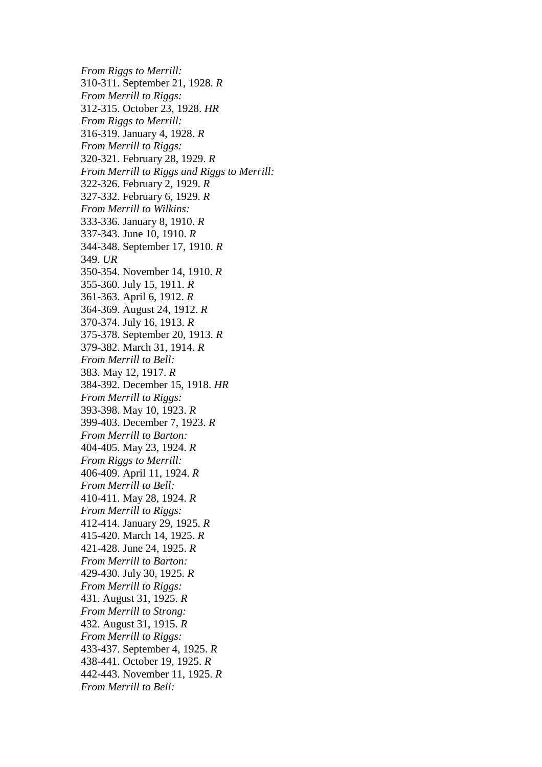*From Riggs to Merrill:* 310-311. September 21, 1928. *R From Merrill to Riggs:* 312-315. October 23, 1928. *HR From Riggs to Merrill:* 316-319. January 4, 1928. *R From Merrill to Riggs:* 320-321. February 28, 1929. *R From Merrill to Riggs and Riggs to Merrill:* 322-326. February 2, 1929. *R* 327-332. February 6, 1929. *R From Merrill to Wilkins:* 333-336. January 8, 1910. *R* 337-343. June 10, 1910. *R* 344-348. September 17, 1910. *R* 349. *UR* 350-354. November 14, 1910. *R* 355-360. July 15, 1911. *R* 361-363. April 6, 1912. *R* 364-369. August 24, 1912. *R* 370-374. July 16, 1913. *R* 375-378. September 20, 1913. *R* 379-382. March 31, 1914. *R From Merrill to Bell:* 383. May 12, 1917. *R* 384-392. December 15, 1918. *HR From Merrill to Riggs:* 393-398. May 10, 1923. *R* 399-403. December 7, 1923. *R From Merrill to Barton:* 404-405. May 23, 1924. *R From Riggs to Merrill:* 406-409. April 11, 1924. *R From Merrill to Bell:* 410-411. May 28, 1924. *R From Merrill to Riggs:* 412-414. January 29, 1925. *R* 415-420. March 14, 1925. *R* 421-428. June 24, 1925. *R From Merrill to Barton:* 429-430. July 30, 1925. *R From Merrill to Riggs:* 431. August 31, 1925. *R From Merrill to Strong:* 432. August 31, 1915. *R From Merrill to Riggs:* 433-437. September 4, 1925. *R* 438-441. October 19, 1925. *R* 442-443. November 11, 1925. *R From Merrill to Bell:*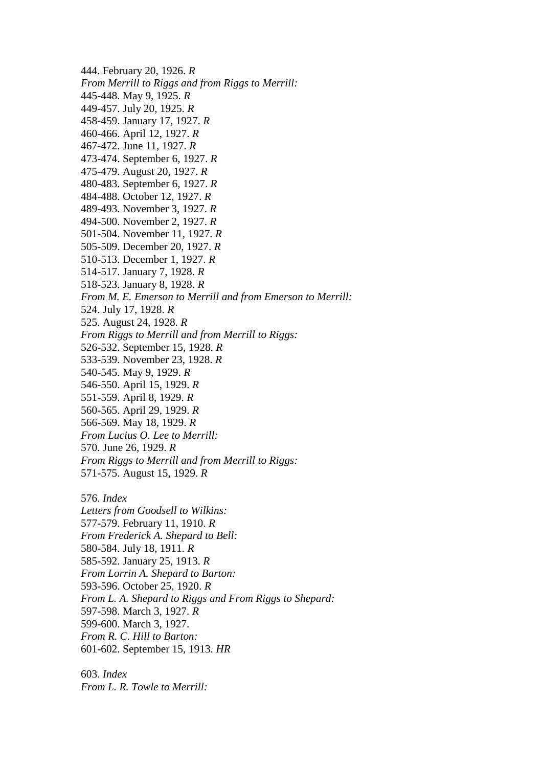444. February 20, 1926. *R From Merrill to Riggs and from Riggs to Merrill:* 445-448. May 9, 1925. *R* 449-457. July 20, 1925. *R* 458-459. January 17, 1927. *R* 460-466. April 12, 1927. *R* 467-472. June 11, 1927. *R* 473-474. September 6, 1927. *R* 475-479. August 20, 1927. *R* 480-483. September 6, 1927. *R* 484-488. October 12, 1927. *R* 489-493. November 3, 1927. *R* 494-500. November 2, 1927. *R* 501-504. November 11, 1927. *R* 505-509. December 20, 1927. *R* 510-513. December 1, 1927. *R* 514-517. January 7, 1928. *R* 518-523. January 8, 1928. *R From M. E. Emerson to Merrill and from Emerson to Merrill:* 524. July 17, 1928. *R* 525. August 24, 1928. *R From Riggs to Merrill and from Merrill to Riggs:* 526-532. September 15, 1928. *R* 533-539. November 23, 1928. *R* 540-545. May 9, 1929. *R* 546-550. April 15, 1929. *R* 551-559. April 8, 1929. *R* 560-565. April 29, 1929. *R* 566-569. May 18, 1929. *R From Lucius O. Lee to Merrill:* 570. June 26, 1929. *R From Riggs to Merrill and from Merrill to Riggs:* 571-575. August 15, 1929. *R* 576. *Index Letters from Goodsell to Wilkins:* 577-579. February 11, 1910. *R From Frederick A. Shepard to Bell:* 580-584. July 18, 1911. *R* 585-592. January 25, 1913. *R From Lorrin A. Shepard to Barton:*  593-596. October 25, 1920. *R From L. A. Shepard to Riggs and From Riggs to Shepard:* 597-598. March 3, 1927. *R* 599-600. March 3, 1927. *From R. C. Hill to Barton:*

601-602. September 15, 1913. *HR*

603. *Index From L. R. Towle to Merrill:*